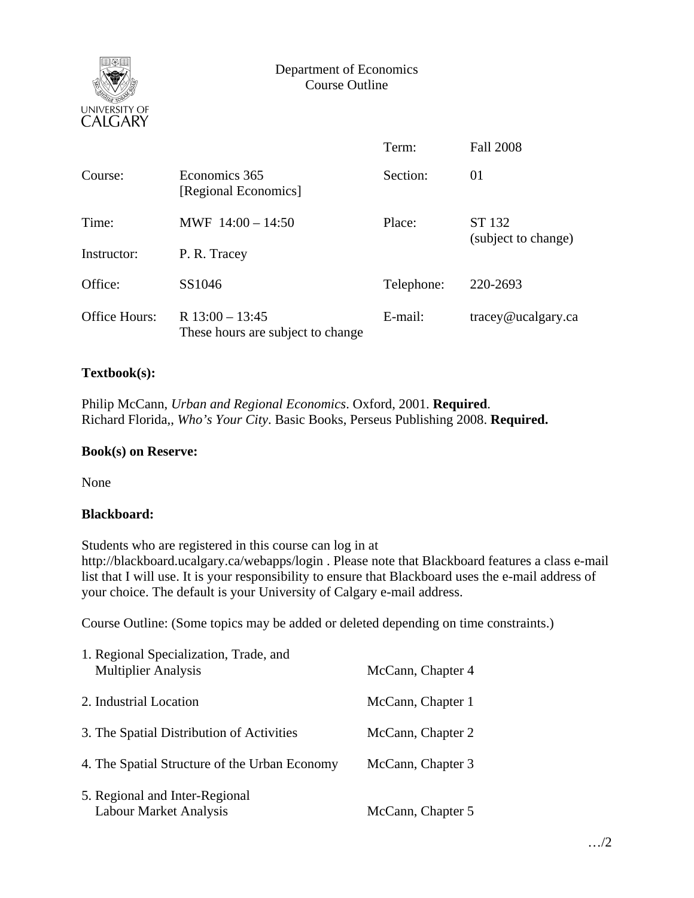

# Department of Economics Course Outline

|                      |                                                        | Term:      | <b>Fall 2008</b>    |  |  |
|----------------------|--------------------------------------------------------|------------|---------------------|--|--|
| Course:              | Economics 365<br>[Regional Economics]                  | Section:   | 01                  |  |  |
| Time:                | MWF $14:00 - 14:50$                                    | Place:     | ST 132              |  |  |
| Instructor:          | P. R. Tracey                                           |            | (subject to change) |  |  |
| Office:              | SS1046                                                 | Telephone: | 220-2693            |  |  |
| <b>Office Hours:</b> | R $13:00 - 13:45$<br>These hours are subject to change | E-mail:    | tracey@ucalgary.ca  |  |  |

## **Textbook(s):**

Philip McCann, *Urban and Regional Economics*. Oxford, 2001. **Required**. Richard Florida,, *Who's Your City*. Basic Books, Perseus Publishing 2008. **Required.**

### **Book(s) on Reserve:**

None

### **Blackboard:**

Students who are registered in this course can log in at http://blackboard.ucalgary.ca/webapps/login . Please note that Blackboard features a class e-mail list that I will use. It is your responsibility to ensure that Blackboard uses the e-mail address of your choice. The default is your University of Calgary e-mail address.

Course Outline: (Some topics may be added or deleted depending on time constraints.)

| 1. Regional Specialization, Trade, and<br><b>Multiplier Analysis</b> | McCann, Chapter 4 |
|----------------------------------------------------------------------|-------------------|
| 2. Industrial Location                                               | McCann, Chapter 1 |
| 3. The Spatial Distribution of Activities                            | McCann, Chapter 2 |
| 4. The Spatial Structure of the Urban Economy                        | McCann, Chapter 3 |
| 5. Regional and Inter-Regional<br><b>Labour Market Analysis</b>      | McCann, Chapter 5 |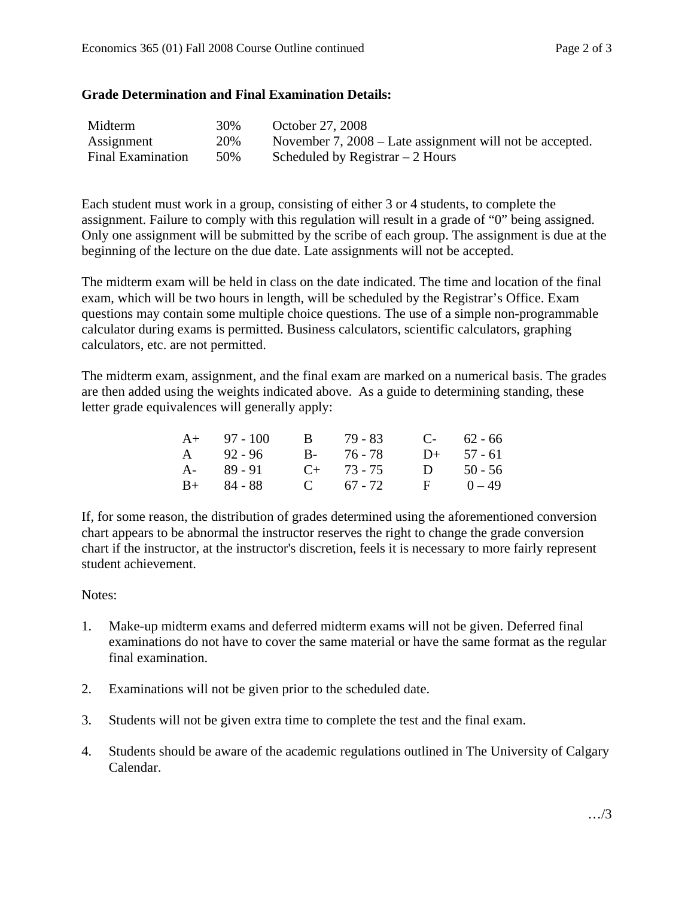#### **Grade Determination and Final Examination Details:**

| Midterm                  | 30% | October 27, 2008                                         |
|--------------------------|-----|----------------------------------------------------------|
| Assignment               | 20% | November 7, 2008 – Late assignment will not be accepted. |
| <b>Final Examination</b> | 50% | Scheduled by Registrar $-2$ Hours                        |

Each student must work in a group, consisting of either 3 or 4 students, to complete the assignment. Failure to comply with this regulation will result in a grade of "0" being assigned. Only one assignment will be submitted by the scribe of each group. The assignment is due at the beginning of the lecture on the due date. Late assignments will not be accepted.

The midterm exam will be held in class on the date indicated. The time and location of the final exam, which will be two hours in length, will be scheduled by the Registrar's Office. Exam questions may contain some multiple choice questions. The use of a simple non-programmable calculator during exams is permitted. Business calculators, scientific calculators, graphing calculators, etc. are not permitted.

The midterm exam, assignment, and the final exam are marked on a numerical basis. The grades are then added using the weights indicated above. As a guide to determining standing, these letter grade equivalences will generally apply:

| $A+ 97 - 100$ | B 79 - 83       | $C-62-66$    |
|---------------|-----------------|--------------|
| $A = 92 - 96$ | $B - 76 - 78$   | $D+ 57 - 61$ |
| $A - 89 - 91$ | $C_{+}$ 73 - 75 | D $50 - 56$  |
| $B+ 84 - 88$  | C $67 - 72$     | $F = 0 - 49$ |

If, for some reason, the distribution of grades determined using the aforementioned conversion chart appears to be abnormal the instructor reserves the right to change the grade conversion chart if the instructor, at the instructor's discretion, feels it is necessary to more fairly represent student achievement.

### Notes:

- 1. Make-up midterm exams and deferred midterm exams will not be given. Deferred final examinations do not have to cover the same material or have the same format as the regular final examination.
- 2. Examinations will not be given prior to the scheduled date.
- 3. Students will not be given extra time to complete the test and the final exam.
- 4. Students should be aware of the academic regulations outlined in The University of Calgary Calendar.